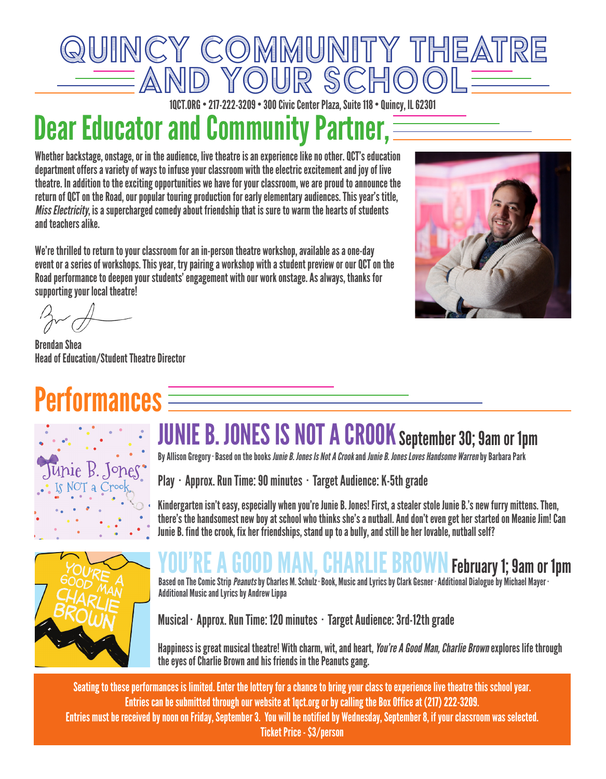

1QCT.ORG • 217-222-3209 • 300 Civic Center Plaza, Suite 118 • Quincy, IL 62301

# **Dear Educator and Community Partner, E**

Whether backstage, onstage, or in the audience, live theatre is an experience like no other. QCT's education department offers a variety of ways to infuse your classroom with the electric excitement and joy of live theatre. In addition to the exciting opportunities we have for your classroom, we are proud to announce the return of QCT on the Road, our popular touring production for early elementary audiences. This year's title, Miss Electricity, is a supercharged comedy about friendship that is sure to warm the hearts of students and teachers alike.

We're thrilled to return to your classroom for an in-person theatre workshop, available as a one-day event or a series of workshops. This year, try pairing a workshop with a student preview or our QCT on the Road performance to deepen your students' engagement with our work onstage. As always, thanks for supporting your local theatre!



Brendan Shea Head of Education/Student Theatre Director

# **Performances**  $\equiv$



### JUNIE B. JONES IS NOT A CROOK September 30; 9am or 1pm

By Allison Gregory · Based on the books *Junie B. Jones Is Not A Crook* and *Junie B. Jones Loves Handsome Warren* by Barbara Park

Play · Approx. Run Time: 90 minutes · Target Audience: K-5th grade

Kindergarten isn't easy, especially when you're Junie B. Jones! First, a stealer stole Junie B.'s new furry mittens. Then, there's the handsomest new boy at school who thinks she's a nutball. And don't even get her started on Meanie Jim! Can Junie B. find the crook, fix her friendships, stand up to a bully, and still be her lovable, nutball self?



### **MAN, UHAKLIE BRUWN February 1; 9am or 1pm**

Based on The Comic Strip *Peanuts* by Charles M. Schulz · Book, Music and Lyrics by Clark Gesner · Additional Dialogue by Michael Mayer · Additional Music and Lyrics by Andrew Lippa

Musical · Approx. Run Time: 120 minutes · Target Audience: 3rd-12th grade

Happiness is great musical theatre! With charm, wit, and heart, *You're A Good Man, Charlie Brown* explores life through the eyes of Charlie Brown and his friends in the Peanuts gang.

Seating to these performances is limited. Enter the lottery for a chance to bring your class to experience live theatre this school year. Entries can be submitted through our website at 1qct.org or by calling the Box Office at (217) 222-3209. Entries must be received by noon on Friday, September 3. You will be notified by Wednesday, September 8, if your classroom was selected. Ticket Price - \$3/person